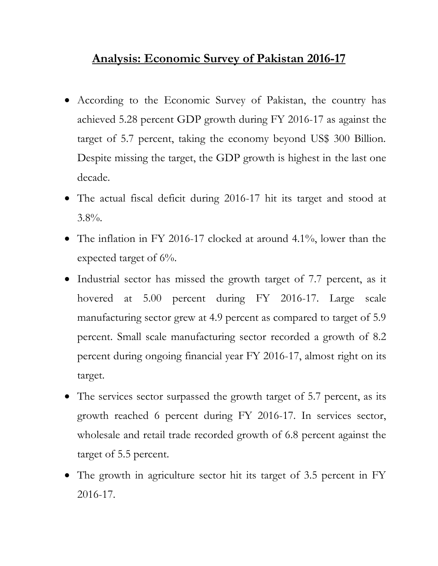## **Analysis: Economic Survey of Pakistan 2016-17**

- According to the Economic Survey of Pakistan, the country has achieved 5.28 percent GDP growth during FY 2016-17 as against the target of 5.7 percent, taking the economy beyond US\$ 300 Billion. Despite missing the target, the GDP growth is highest in the last one decade.
- The actual fiscal deficit during 2016-17 hit its target and stood at 3.8%.
- The inflation in FY 2016-17 clocked at around 4.1%, lower than the expected target of 6%.
- Industrial sector has missed the growth target of 7.7 percent, as it hovered at 5.00 percent during FY 2016-17. Large scale manufacturing sector grew at 4.9 percent as compared to target of 5.9 percent. Small scale manufacturing sector recorded a growth of 8.2 percent during ongoing financial year FY 2016-17, almost right on its target.
- The services sector surpassed the growth target of 5.7 percent, as its growth reached 6 percent during FY 2016-17. In services sector, wholesale and retail trade recorded growth of 6.8 percent against the target of 5.5 percent.
- The growth in agriculture sector hit its target of 3.5 percent in FY 2016-17.